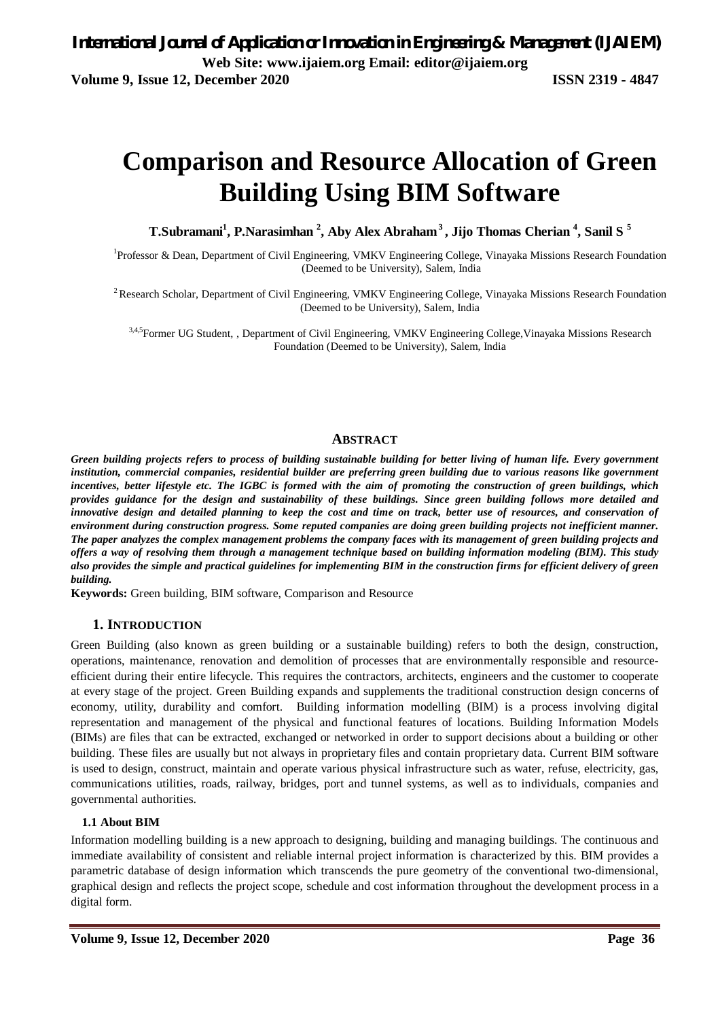# **Comparison and Resource Allocation of Green Building Using BIM Software**

**T.Subramani<sup>1</sup> , P.Narasimhan <sup>2</sup> , Aby Alex Abraham<sup>3</sup>, Jijo Thomas Cherian <sup>4</sup> , Sanil S <sup>5</sup>**

<sup>1</sup>Professor & Dean, Department of Civil Engineering, VMKV Engineering College, Vinayaka Missions Research Foundation (Deemed to be University), Salem, India

<sup>2</sup> Research Scholar, Department of Civil Engineering, VMKV Engineering College, Vinayaka Missions Research Foundation (Deemed to be University), Salem, India

3,4,5Former UG Student, , Department of Civil Engineering, VMKV Engineering College, Vinayaka Missions Research Foundation (Deemed to be University), Salem, India

#### **ABSTRACT**

*Green building projects refers to process of building sustainable building for better living of human life. Every government institution, commercial companies, residential builder are preferring green building due to various reasons like government incentives, better lifestyle etc. The IGBC is formed with the aim of promoting the construction of green buildings, which provides guidance for the design and sustainability of these buildings. Since green building follows more detailed and*  innovative design and detailed planning to keep the cost and time on track, better use of resources, and conservation of *environment during construction progress. Some reputed companies are doing green building projects not inefficient manner. The paper analyzes the complex management problems the company faces with its management of green building projects and offers a way of resolving them through a management technique based on building information modeling (BIM). This study also provides the simple and practical guidelines for implementing BIM in the construction firms for efficient delivery of green building.*

**Keywords:** Green building, BIM software, Comparison and Resource

#### **1. INTRODUCTION**

Green Building (also known as green building or a sustainable building) refers to both the design, construction, operations, maintenance, renovation and demolition of processes that are environmentally responsible and resourceefficient during their entire lifecycle. This requires the contractors, architects, engineers and the customer to cooperate at every stage of the project. Green Building expands and supplements the traditional construction design concerns of economy, utility, durability and comfort. Building information modelling (BIM) is a process involving digital representation and management of the physical and functional features of locations. Building Information Models (BIMs) are files that can be extracted, exchanged or networked in order to support decisions about a building or other building. These files are usually but not always in proprietary files and contain proprietary data. Current BIM software is used to design, construct, maintain and operate various physical infrastructure such as water, refuse, electricity, gas, communications utilities, roads, railway, bridges, port and tunnel systems, as well as to individuals, companies and governmental authorities.

#### **1.1 About BIM**

Information modelling building is a new approach to designing, building and managing buildings. The continuous and immediate availability of consistent and reliable internal project information is characterized by this. BIM provides a parametric database of design information which transcends the pure geometry of the conventional two-dimensional, graphical design and reflects the project scope, schedule and cost information throughout the development process in a digital form.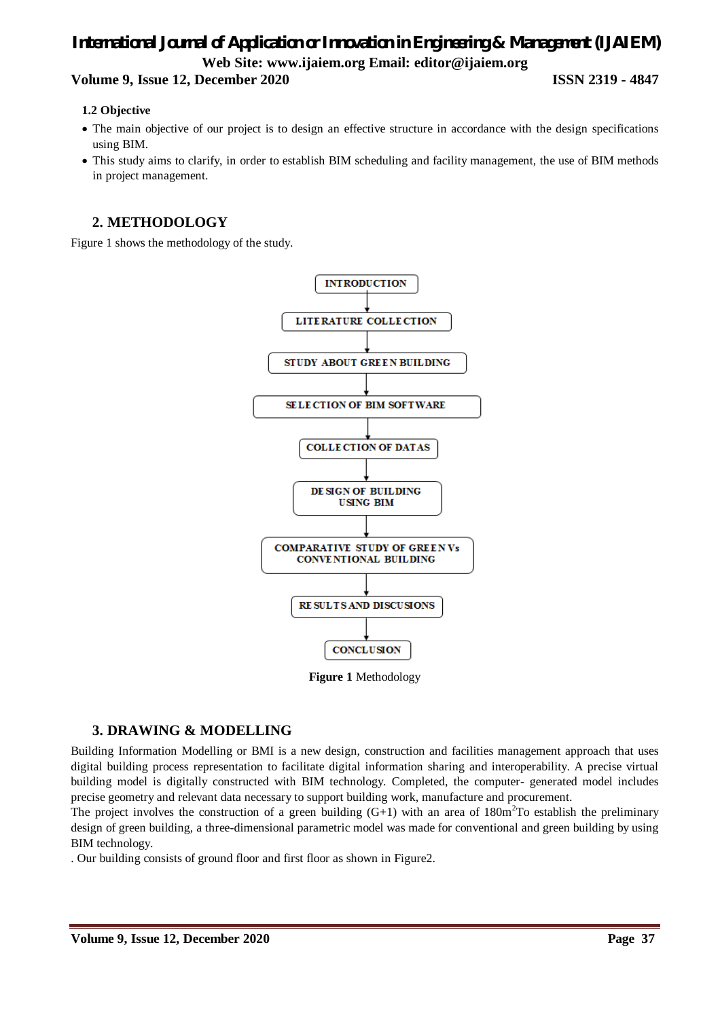### **Volume 9, Issue 12, December 2020 ISSN 2319 - 4847**

#### **1.2 Objective**

- The main objective of our project is to design an effective structure in accordance with the design specifications using BIM.
- This study aims to clarify, in order to establish BIM scheduling and facility management, the use of BIM methods in project management.

## **2. METHODOLOGY**

Figure 1 shows the methodology of the study.



#### **Figure 1** Methodology

## **3. DRAWING & MODELLING**

Building Information Modelling or BMI is a new design, construction and facilities management approach that uses digital building process representation to facilitate digital information sharing and interoperability. A precise virtual building model is digitally constructed with BIM technology. Completed, the computer- generated model includes precise geometry and relevant data necessary to support building work, manufacture and procurement.

The project involves the construction of a green building  $(G+1)$  with an area of 180m<sup>2</sup>To establish the preliminary design of green building, a three-dimensional parametric model was made for conventional and green building by using BIM technology.

. Our building consists of ground floor and first floor as shown in Figure2.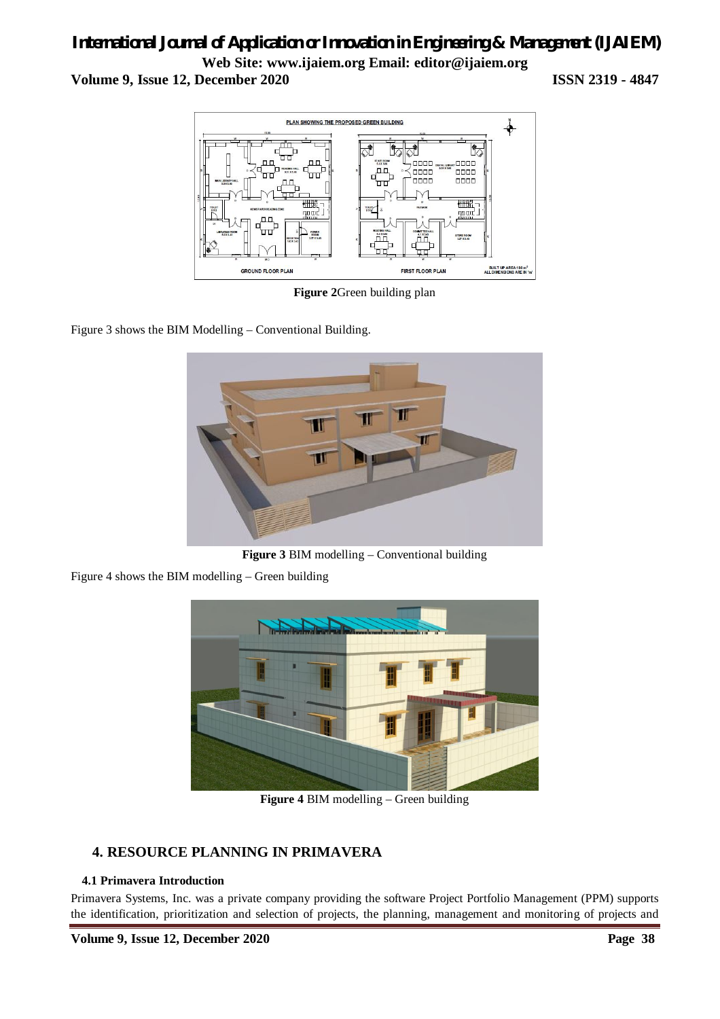## *International Journal of Application or Innovation in Engineering & Management (IJAIEM)* **Web Site: www.ijaiem.org Email: editor@ijaiem.org Volume 9, Issue 12, December 2020 ISSN 2319 - 4847**



**Figure 2**Green building plan

Figure 3 shows the BIM Modelling – Conventional Building.



**Figure 3** BIM modelling – Conventional building

Figure 4 shows the BIM modelling – Green building



**Figure 4** BIM modelling – Green building

## **4. RESOURCE PLANNING IN PRIMAVERA**

#### **4.1 Primavera Introduction**

Primavera Systems, Inc. was a private company providing the software Project Portfolio Management (PPM) supports the identification, prioritization and selection of projects, the planning, management and monitoring of projects and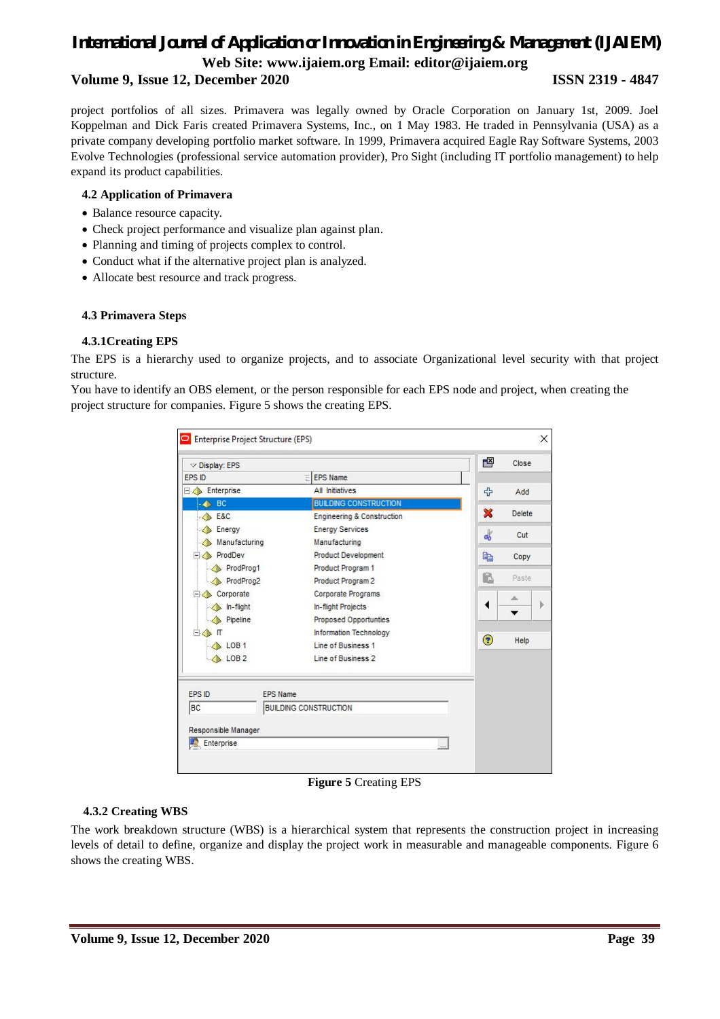#### **Volume 9, Issue 12, December 2020 ISSN 2319 - 4847**

project portfolios of all sizes. Primavera was legally owned by Oracle Corporation on January 1st, 2009. Joel Koppelman and Dick Faris created Primavera Systems, Inc., on 1 May 1983. He traded in Pennsylvania (USA) as a private company developing portfolio market software. In 1999, Primavera acquired Eagle Ray Software Systems, 2003 Evolve Technologies (professional service automation provider), Pro Sight (including IT portfolio management) to help expand its product capabilities.

#### **4.2 Application of Primavera**

- Balance resource capacity.
- Check project performance and visualize plan against plan.
- Planning and timing of projects complex to control.
- Conduct what if the alternative project plan is analyzed.
- Allocate best resource and track progress.

#### **4.3 Primavera Steps**

#### **4.3.1Creating EPS**

The EPS is a hierarchy used to organize projects, and to associate Organizational level security with that project structure.

You have to identify an OBS element, or the person responsible for each EPS node and project, when creating the project structure for companies. Figure 5 shows the creating EPS.

|                     | Enterprise Project Structure (EPS) |                              |               | ×      |
|---------------------|------------------------------------|------------------------------|---------------|--------|
| $\vee$ Display: EPS |                                    |                              | 督             | Close  |
| EPS ID              | Ξ                                  | <b>EPS Name</b>              |               |        |
| Enterprise          |                                    | All Initiatives              | +             | Add    |
| <b>BC</b><br>л.     |                                    | <b>BUILDING CONSTRUCTION</b> |               |        |
| <b>E&amp;C</b>      |                                    | Engineering & Construction   | ×             | Delete |
| Energy              |                                    | <b>Energy Services</b>       | $\frac{1}{2}$ | Cut    |
| Manufacturing       |                                    | Manufacturing                |               |        |
| ProdDev<br>$-$      |                                    | <b>Product Development</b>   | 晒             | Copy   |
| ProdProg1           |                                    | Product Program 1            |               |        |
| ProdProg2           |                                    | Product Program 2            | £             | Paste  |
| Corporate<br>Ξ      |                                    | Corporate Programs           |               | ∸      |
| In-flight           |                                    | In-flight Projects           | ◀             |        |
| Pipeline            |                                    | <b>Proposed Opportunties</b> |               |        |
| Ė.<br>П             |                                    | Information Technology       |               |        |
| LOB <sub>1</sub>    |                                    | Line of Business 1           | ◉             | Help   |
| LOB <sub>2</sub>    |                                    | Line of Business 2           |               |        |
| <b>FPS ID</b>       | <b>EPS Name</b>                    |                              |               |        |
| BC                  | <b>BUILDING CONSTRUCTION</b>       |                              |               |        |
| Responsible Manager |                                    |                              |               |        |
| Enterprise          |                                    |                              | $\cdots$      |        |

**Figure 5** Creating EPS

#### **4.3.2 Creating WBS**

The work breakdown structure (WBS) is a hierarchical system that represents the construction project in increasing levels of detail to define, organize and display the project work in measurable and manageable components. Figure 6 shows the creating WBS.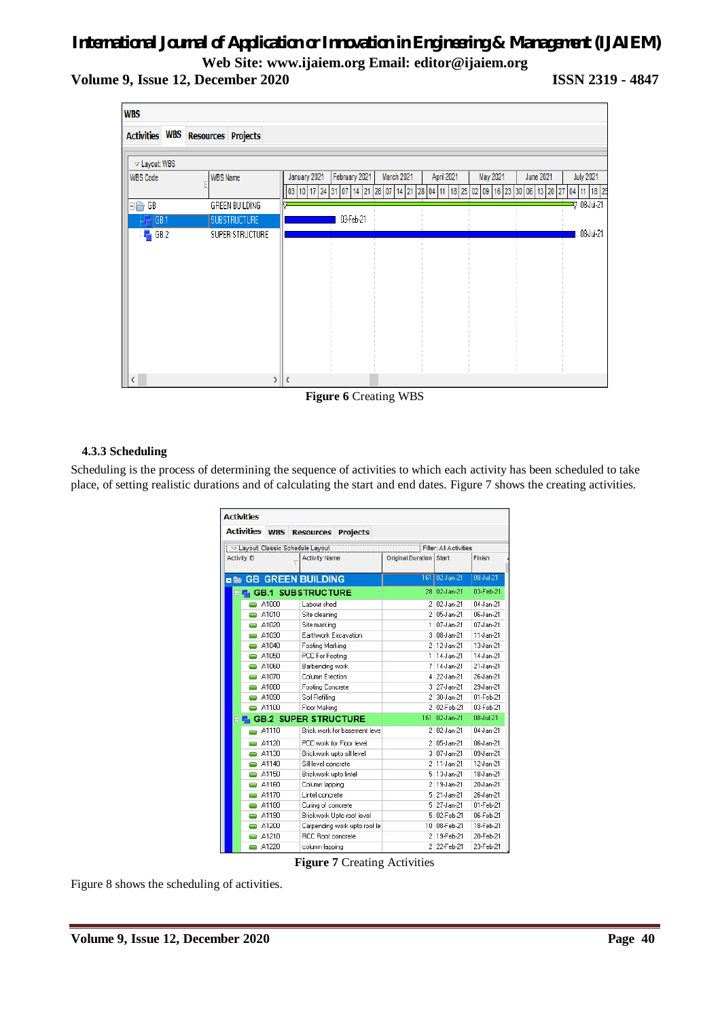**Volume 9, Issue 12, December 2020 ISSN 2319 - 4847**

| <b>WBS</b>               |                               |                                                                                                                                                                                  |
|--------------------------|-------------------------------|----------------------------------------------------------------------------------------------------------------------------------------------------------------------------------|
| <b>Activities</b>        | <b>WBS</b> Resources Projects |                                                                                                                                                                                  |
| $\vee$ Layout: WBS       |                               |                                                                                                                                                                                  |
| <b>WBS Code</b>          | <b>WBS Name</b><br>F          | January 2021<br>February 2021<br><b>July 2021</b><br>March 2021<br>April 2021<br>May 2021<br><b>June 2021</b>                                                                    |
| $\boxminus \bigoplus$ GB | GREEN BUILDING                | 03   10   17   24   31   07   14   21   28   07   14   21   28   04   11   18   25   02   09   16   23   30   06   13   20   27   04   11   18   25<br><mark>=</mark> ⊽ 08Jul-21 |
| GB.1                     | <b>SUBSTRUCTURE</b>           | 03-Feb-21                                                                                                                                                                        |
| ् <mark>यम</mark> GB.2   | SUPER STRUCTURE               | 08-Jul-21                                                                                                                                                                        |
|                          |                               |                                                                                                                                                                                  |
|                          |                               |                                                                                                                                                                                  |
|                          |                               |                                                                                                                                                                                  |
|                          |                               |                                                                                                                                                                                  |
|                          |                               |                                                                                                                                                                                  |
|                          |                               |                                                                                                                                                                                  |
|                          |                               |                                                                                                                                                                                  |
| $\langle$                |                               | $> \mathbf{<} $                                                                                                                                                                  |

**Figure 6** Creating WBS

#### **4.3.3 Scheduling**

Scheduling is the process of determining the sequence of activities to which each activity has been scheduled to take place, of setting realistic durations and of calculating the start and end dates. Figure 7 shows the creating activities.

| <b>Activities</b> |                          |                                            |                         |                            |                            |
|-------------------|--------------------------|--------------------------------------------|-------------------------|----------------------------|----------------------------|
| <b>Activities</b> |                          | <b>WBS</b> Resources Projects              |                         |                            |                            |
|                   |                          | $\sqrt{2}$ Layout: Classic Schedule Layout |                         | Filter: All Activities     |                            |
| Activity ID       | $\overline{\phantom{0}}$ | <b>Activity Name</b>                       | Original Duration Start |                            | Finish                     |
|                   |                          | <b>E</b> GB GREEN BUILDING                 |                         | 161 02-Jan-21              | 08-Jul-21                  |
|                   |                          | □ 喘 GB.1 SUBSTRUCTURE                      |                         | 28 02-Jan-21               | 03-Feb-21                  |
|                   | A1000                    | Labour shed                                |                         | 2 02-Jan-21                | 04-Jan-21                  |
|                   | A1010                    | Site cleaning                              |                         | 2 05-Jan-21                | 06-Jan-21                  |
| J                 | A1020                    | Site marking                               |                         | $1 07$ -Jan-21             | $07$ <sub>slan</sub> $-21$ |
| J                 | A1030                    | Earthwork Excavation                       |                         | 3 08-Jan-21                | 11-Jan-21                  |
| <b>STATE</b>      | A1040                    | Footing Marking                            |                         | 2 12-Jan-21                | 13-Jan-21                  |
|                   | $\Rightarrow$ A1050      | PCC For Footing                            |                         | $1 14$ <sub>2</sub> lan-21 | 14-Jan-21                  |
| $\frac{1}{2}$     | A1060                    | Barbending work                            | 7                       | 14-Jan-21                  | $21$ -Jan- $21$            |
| <b>Service</b>    | A1070                    | Column Erection                            | $\mathbf{4}$            | 22-Jan-21                  | 26-Jan-21                  |
| <b>COL</b>        | A1080                    | Footing Concrete                           |                         | 3 27-Jan-21                | 29-Jan-21                  |
|                   | A1090                    | Soil Refilling                             |                         | 2 30-Jan-21                | 01-Feb-21                  |
|                   | A1100                    | Floor Making                               |                         | 2 02-Feb-21                | 03-Feb-21                  |
| E La              |                          | <b>GB.2 SUPER STRUCTURE</b>                | 161                     | 02-Jan-21                  | 08-Jul-21                  |
|                   | A1110                    | <b>Brick work for basement leve</b>        |                         | 2 02-Jan-21                | 04-Jan-21                  |
|                   | A1120                    | PCC work for Floor level                   |                         | 2 05-Jan-21                | 06-Jan-21                  |
| Į                 | A1130                    | Brickwork upto sill level                  |                         | 3 07-Jan-21                | 09-Jan-21                  |
| Į                 | A1140                    | Sill level concrete                        | $\overline{a}$          | 11-Jan-21                  | 12-Jan-21                  |
| <b>COL</b>        | A1150                    | Brickwork upto lintel                      |                         | 5 13-Jan-21                | 18-Jan-21                  |
| o                 | A1160                    | Column lapping                             |                         | 2 19-Jan-21                | 20-Jan-21                  |
| <b>STATE</b>      | A1170                    | Lintel concrete                            |                         | 5 21 Jan-21                | 26-Jan-21                  |
| <b>Service</b>    | A1180                    | Curing of concrete                         |                         | 5 27-Jan-21                | 01-Feb-21                  |
| <b>Septe</b>      | A1190                    | Brickwork Upto roof level                  |                         | 5 02-Feb-21                | 06-Feb-21                  |
| -                 | A1200                    | Carpending work upto roof le               |                         | 10 08-Feb-21               | 18-Feb-21                  |
| l                 | A1210                    | <b>RCC Roof concrete</b>                   |                         | 2 19-Feb-21                | 20-Feb-21                  |
| J                 | A1220                    | column lapping                             |                         | 2 22-Feb-21                | 23-Feb-21                  |

**Figure 7** Creating Activities

Figure 8 shows the scheduling of activities.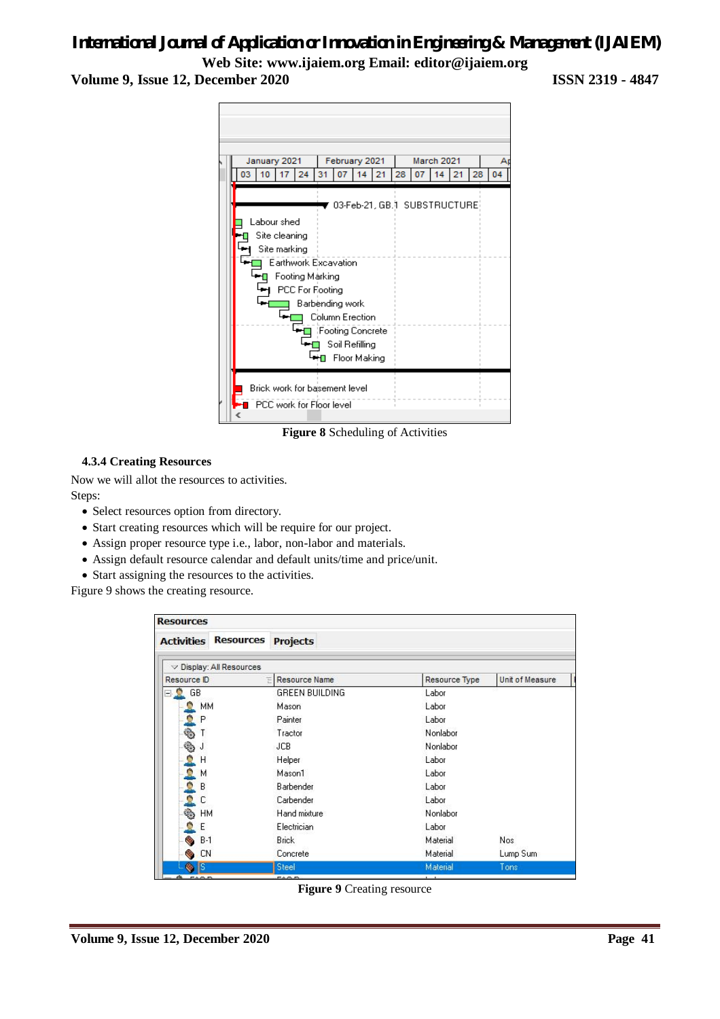## *International Journal of Application or Innovation in Engineering & Management (IJAIEM)*

**Web Site: www.ijaiem.org Email: editor@ijaiem.org Volume 9, Issue 12, December 2020 ISSN 2319 - 4847**



**Figure 8** Scheduling of Activities

#### **4.3.4 Creating Resources**

Now we will allot the resources to activities. Steps:

- Select resources option from directory.
- Start creating resources which will be require for our project.
- Assign proper resource type i.e., labor, non-labor and materials.
- Assign default resource calendar and default units/time and price/unit.
- Start assigning the resources to the activities.

Figure 9 shows the creating resource.

| <b>Resources</b>                  |                               |                        |               |                        |
|-----------------------------------|-------------------------------|------------------------|---------------|------------------------|
| <b>Activities</b>                 | <b>Resources</b>              | <b>Projects</b>        |               |                        |
|                                   | $\vee$ Display: All Resources |                        |               |                        |
| Resource ID                       |                               | <b>E</b> Resource Name | Resource Type | <b>Unit of Measure</b> |
| GB<br>8 E                         |                               | <b>GREEN BUILDING</b>  | Labor         |                        |
| MM                                |                               | Mason                  | Labor         |                        |
| P                                 |                               | Painter                | Labor         |                        |
| $\frac{1}{2}$                     |                               | Tractor                | Nonlabor      |                        |
| $\frac{d\mathbf{b}}{d\mathbf{b}}$ |                               | <b>JCB</b>             | Nonlabor      |                        |
| Н<br>e                            |                               | Helper                 | Labor         |                        |
| м                                 |                               | Mason1                 | Labor         |                        |
| ė,<br>В                           |                               | Barbender              | Labor         |                        |
| D<br>С                            |                               | Carbender              | Labor         |                        |
| HM                                |                               | Hand mixture           | Nonlabor      |                        |
| Ε                                 |                               | Electrician            | Labor         |                        |
| $B-1$                             |                               | <b>Brick</b>           | Material      | Nos.                   |
| <b>CN</b>                         |                               | Concrete               | Material      | Lump Sum               |
| ß                                 |                               | Steel                  | Material      | Tons                   |
|                                   |                               | ----                   |               |                        |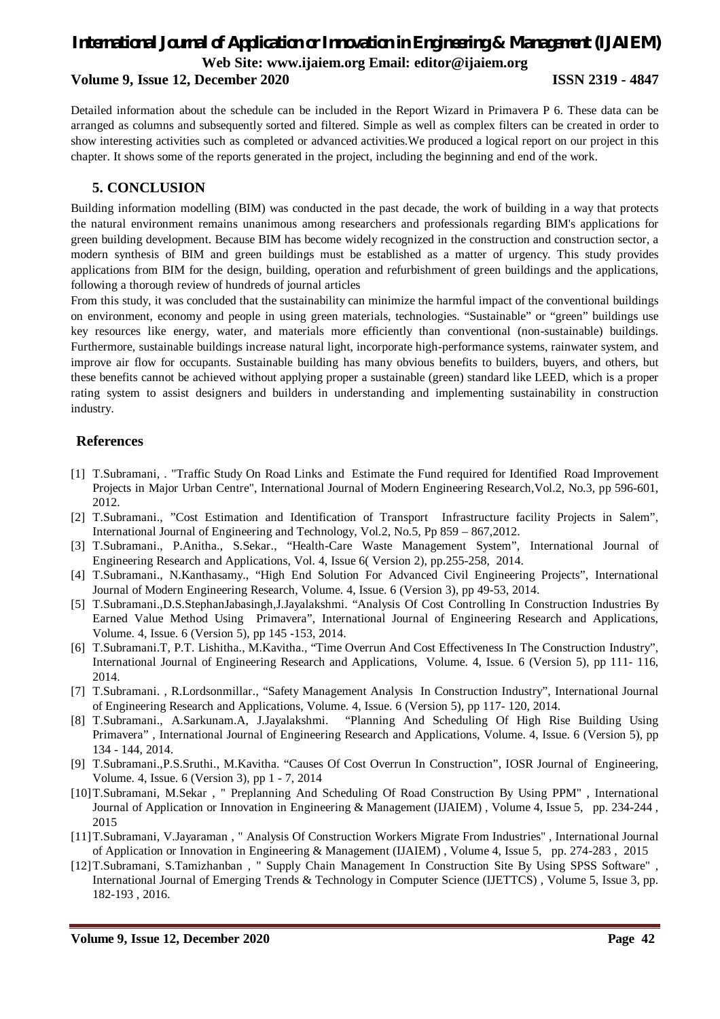**Volume 9, Issue 12, December 2020 ISSN 2319 - 4847**

Detailed information about the schedule can be included in the Report Wizard in Primavera P 6. These data can be arranged as columns and subsequently sorted and filtered. Simple as well as complex filters can be created in order to show interesting activities such as completed or advanced activities.We produced a logical report on our project in this chapter. It shows some of the reports generated in the project, including the beginning and end of the work.

#### **5. CONCLUSION**

Building information modelling (BIM) was conducted in the past decade, the work of building in a way that protects the natural environment remains unanimous among researchers and professionals regarding BIM's applications for green building development. Because BIM has become widely recognized in the construction and construction sector, a modern synthesis of BIM and green buildings must be established as a matter of urgency. This study provides applications from BIM for the design, building, operation and refurbishment of green buildings and the applications, following a thorough review of hundreds of journal articles

From this study, it was concluded that the sustainability can minimize the harmful impact of the conventional buildings on environment, economy and people in using green materials, technologies. "Sustainable" or "green" buildings use key resources like energy, water, and materials more efficiently than conventional (non-sustainable) buildings. Furthermore, sustainable buildings increase natural light, incorporate high-performance systems, rainwater system, and improve air flow for occupants. Sustainable building has many obvious benefits to builders, buyers, and others, but these benefits cannot be achieved without applying proper a sustainable (green) standard like LEED, which is a proper rating system to assist designers and builders in understanding and implementing sustainability in construction industry.

### **References**

- [1] T.Subramani, . "Traffic Study On Road Links and Estimate the Fund required for Identified Road Improvement Projects in Major Urban Centre", International Journal of Modern Engineering Research,Vol.2, No.3, pp 596-601, 2012.
- [2] T.Subramani., "Cost Estimation and Identification of Transport Infrastructure facility Projects in Salem", International Journal of Engineering and Technology, Vol.2, No.5, Pp 859 – 867,2012.
- [3] T.Subramani., P.Anitha., S.Sekar., "Health-Care Waste Management System", International Journal of Engineering Research and Applications, Vol. 4, Issue 6( Version 2), pp.255-258, 2014.
- [4] T.Subramani., N.Kanthasamy., "High End Solution For Advanced Civil Engineering Projects", International Journal of Modern Engineering Research, Volume. 4, Issue. 6 (Version 3), pp 49-53, 2014.
- [5] T.Subramani.,D.S.StephanJabasingh,J.Jayalakshmi. "Analysis Of Cost Controlling In Construction Industries By Earned Value Method Using Primavera", International Journal of Engineering Research and Applications, Volume. 4, Issue. 6 (Version 5), pp 145 -153, 2014.
- [6] T.Subramani.T, P.T. Lishitha., M.Kavitha., "Time Overrun And Cost Effectiveness In The Construction Industry", International Journal of Engineering Research and Applications, Volume. 4, Issue. 6 (Version 5), pp 111- 116, 2014.
- [7] T.Subramani. , R.Lordsonmillar., "Safety Management Analysis In Construction Industry", International Journal of Engineering Research and Applications, Volume. 4, Issue. 6 (Version 5), pp 117- 120, 2014.
- [8] T.Subramani., A.Sarkunam.A, J.Jayalakshmi. "Planning And Scheduling Of High Rise Building Using Primavera" , International Journal of Engineering Research and Applications, Volume. 4, Issue. 6 (Version 5), pp 134 - 144, 2014.
- [9] T.Subramani.,P.S.Sruthi., M.Kavitha. "Causes Of Cost Overrun In Construction", IOSR Journal of Engineering, Volume. 4, Issue. 6 (Version 3), pp 1 - 7, 2014
- [10]T.Subramani, M.Sekar, " Preplanning And Scheduling Of Road Construction By Using PPM", International Journal of Application or Innovation in Engineering & Management (IJAIEM) , Volume 4, Issue 5, pp. 234-244 , 2015
- [11]T.Subramani, V.Jayaraman , " Analysis Of Construction Workers Migrate From Industries" , International Journal of Application or Innovation in Engineering & Management (IJAIEM) , Volume 4, Issue 5, pp. 274-283 , 2015
- [12]T.Subramani, S.Tamizhanban , " Supply Chain Management In Construction Site By Using SPSS Software" , International Journal of Emerging Trends & Technology in Computer Science (IJETTCS) , Volume 5, Issue 3, pp. 182-193 , 2016.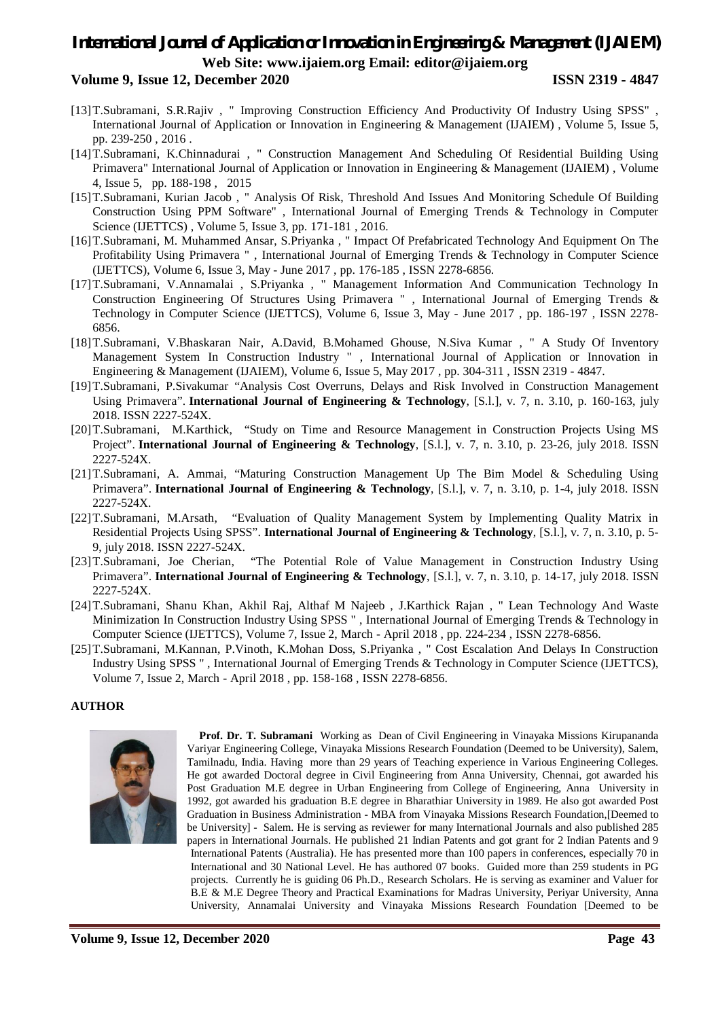#### **Volume 9, Issue 12, December 2020 ISSN 2319 - 4847**

- [13]T.Subramani, S.R.Rajiv , " Improving Construction Efficiency And Productivity Of Industry Using SPSS" , International Journal of Application or Innovation in Engineering & Management (IJAIEM) , Volume 5, Issue 5, pp. 239-250 , 2016 .
- [14]T.Subramani, K.Chinnadurai , " Construction Management And Scheduling Of Residential Building Using Primavera" International Journal of Application or Innovation in Engineering & Management (IJAIEM) , Volume 4, Issue 5, pp. 188-198 , 2015
- [15]T.Subramani, Kurian Jacob , " Analysis Of Risk, Threshold And Issues And Monitoring Schedule Of Building Construction Using PPM Software" , International Journal of Emerging Trends & Technology in Computer Science (IJETTCS) , Volume 5, Issue 3, pp. 171-181 , 2016.
- [16]T.Subramani, M. Muhammed Ansar, S.Priyanka , " Impact Of Prefabricated Technology And Equipment On The Profitability Using Primavera " , International Journal of Emerging Trends & Technology in Computer Science (IJETTCS), Volume 6, Issue 3, May - June 2017 , pp. 176-185 , ISSN 2278-6856.
- [17]T.Subramani, V.Annamalai , S.Priyanka , " Management Information And Communication Technology In Construction Engineering Of Structures Using Primavera " , International Journal of Emerging Trends & Technology in Computer Science (IJETTCS), Volume 6, Issue 3, May - June 2017 , pp. 186-197 , ISSN 2278- 6856.
- [18]T.Subramani, V.Bhaskaran Nair, A.David, B.Mohamed Ghouse, N.Siva Kumar , " A Study Of Inventory Management System In Construction Industry " , International Journal of Application or Innovation in Engineering & Management (IJAIEM), Volume 6, Issue 5, May 2017 , pp. 304-311 , ISSN 2319 - 4847.
- [19]T.Subramani, P.Sivakumar "Analysis Cost Overruns, Delays and Risk Involved in Construction Management Using Primavera". **International Journal of Engineering & Technology**, [S.l.], v. 7, n. 3.10, p. 160-163, july 2018. ISSN 2227-524X.
- [20]T.Subramani, M.Karthick, "Study on Time and Resource Management in Construction Projects Using MS Project". **International Journal of Engineering & Technology**, [S.l.], v. 7, n. 3.10, p. 23-26, july 2018. ISSN 2227-524X.
- [21]T.Subramani, A. Ammai, "Maturing Construction Management Up The Bim Model & Scheduling Using Primavera". **International Journal of Engineering & Technology**, [S.l.], v. 7, n. 3.10, p. 1-4, july 2018. ISSN 2227-524X.
- [22]T.Subramani, M.Arsath, "Evaluation of Quality Management System by Implementing Quality Matrix in Residential Projects Using SPSS". **International Journal of Engineering & Technology**, [S.l.], v. 7, n. 3.10, p. 5- 9, july 2018. ISSN 2227-524X.
- [23]T.Subramani, Joe Cherian, "The Potential Role of Value Management in Construction Industry Using Primavera". **International Journal of Engineering & Technology**, [S.l.], v. 7, n. 3.10, p. 14-17, july 2018. ISSN 2227-524X.
- [24]T.Subramani, Shanu Khan, Akhil Raj, Althaf M Najeeb , J.Karthick Rajan , " Lean Technology And Waste Minimization In Construction Industry Using SPSS " , International Journal of Emerging Trends & Technology in Computer Science (IJETTCS), Volume 7, Issue 2, March - April 2018 , pp. 224-234 , ISSN 2278-6856.
- [25]T.Subramani, M.Kannan, P.Vinoth, K.Mohan Doss, S.Priyanka , " Cost Escalation And Delays In Construction Industry Using SPSS " , International Journal of Emerging Trends & Technology in Computer Science (IJETTCS), Volume 7, Issue 2, March - April 2018 , pp. 158-168 , ISSN 2278-6856.

#### **AUTHOR**



**Prof. Dr. T. Subramani** Working as Dean of Civil Engineering in Vinayaka Missions Kirupananda Variyar Engineering College, Vinayaka Missions Research Foundation (Deemed to be University), Salem, Tamilnadu, India. Having more than 29 years of Teaching experience in Various Engineering Colleges. He got awarded Doctoral degree in Civil Engineering from Anna University, Chennai, got awarded his Post Graduation M.E degree in Urban Engineering from College of Engineering, Anna University in 1992, got awarded his graduation B.E degree in Bharathiar University in 1989. He also got awarded Post Graduation in Business Administration - MBA from Vinayaka Missions Research Foundation,[Deemed to be University] - Salem. He is serving as reviewer for many International Journals and also published 285 papers in International Journals. He published 21 Indian Patents and got grant for 2 Indian Patents and 9 International Patents (Australia). He has presented more than 100 papers in conferences, especially 70 in International and 30 National Level. He has authored 07 books. Guided more than 259 students in PG projects. Currently he is guiding 06 Ph.D., Research Scholars. He is serving as examiner and Valuer for B.E & M.E Degree Theory and Practical Examinations for Madras University, Periyar University, Anna University, Annamalai University and Vinayaka Missions Research Foundation [Deemed to be